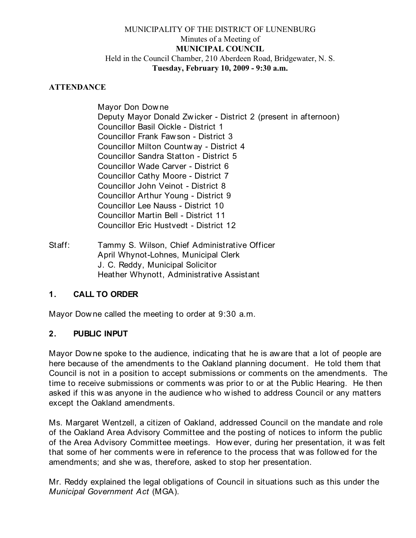### MUNICIPALITY OF THE DISTRICT OF LUNENBURG Minutes of a Meeting of **MUNICIPAL COUNCIL** Held in the Council Chamber, 210 Aberdeen Road, Bridgewater, N. S. **Tuesday, February 10, 2009 - 9:30 a.m.**

#### **ATTENDANCE**

Mayor Don Dow ne Deputy Mayor Donald Zw icker - District 2 (present in afternoon) Councillor Basil Oickle - District 1 Councillor Frank Faw son - District 3 Councillor Milton Countw ay - District 4 Councillor Sandra Statton - District 5 Councillor Wade Carver - District 6 Councillor Cathy Moore - District 7 Councillor John Veinot - District 8 Councillor Arthur Young - District 9 Councillor Lee Nauss - District 10 Councillor Martin Bell - District 11 Councillor Eric Hustvedt - District 12

Staff: Tammy S. Wilson, Chief Administrative Officer April Whynot-Lohnes, Municipal Clerk J. C. Reddy, Municipal Solicitor Heather Whynott, Administrative Assistant

#### **1. CALL TO ORDER**

Mayor Dow ne called the meeting to order at 9:30 a.m.

#### **2. PUBLIC INPUT**

Mayor Downe spoke to the audience, indicating that he is aw are that a lot of people are here because of the amendments to the Oakland planning document. He told them that Council is not in a position to accept submissions or comments on the amendments. The time to receive submissions or comments w as prior to or at the Public Hearing. He then asked if this w as anyone in the audience w ho w ished to address Council or any matters except the Oakland amendments.

Ms. Margaret Wentzell, a citizen of Oakland, addressed Council on the mandate and role of the Oakland Area Advisory Committee and the posting of notices to inform the public of the Area Advisory Committee meetings. However, during her presentation, it w as felt that some of her comments w ere in reference to the process that w as follow ed for the amendments; and she w as, therefore, asked to stop her presentation.

Mr. Reddy explained the legal obligations of Council in situations such as this under the *Municipal Government Act* (MGA).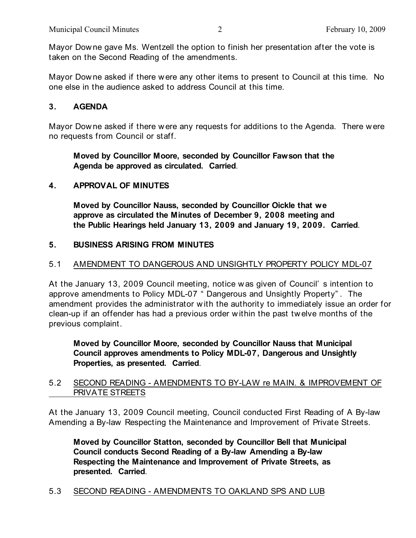Mayor Downe gave Ms. Wentzell the option to finish her presentation after the vote is taken on the Second Reading of the amendments.

Mayor Dow ne asked if there w ere any other items to present to Council at this time. No one else in the audience asked to address Council at this time.

## **3. AGENDA**

Mayor Downe asked if there w ere any requests for additions to the Agenda. There w ere no requests from Council or staff.

### **Moved by Councillor Moore, seconded by Councillor Fawson that the Agenda be approved as circulated. Carried**.

## **4. APPROVAL OF MINUTES**

**Moved by Councillor Nauss, seconded by Councillor Oickle that we approve as circulated the Minutes of December 9, 2008 meeting and the Public Hearings held January 13, 2009 and January 19, 2009. Carried**.

## **5. BUSINESS ARISING FROM MINUTES**

## 5.1 AMENDMENT TO DANGEROUS AND UNSIGHTLY PROPERTY POLICY MDL-07

At the January 13, 2009 Council meeting, notice w as given of Council' s intention to approve amendments to Policy MDL-07 " Dangerous and Unsightly Property" . The amendment provides the administrator w ith the authority to immediately issue an order for clean-up if an offender has had a previous order w ithin the past tw elve months of the previous complaint.

**Moved by Councillor Moore, seconded by Councillor Nauss that Municipal Council approves amendments to Policy MDL-07, Dangerous and Unsightly Properties, as presented. Carried**.

### 5.2 SECOND READING - AMENDMENTS TO BY-LAW re MAIN. & IMPROVEMENT OF PRIVATE STREETS

At the January 13, 2009 Council meeting, Council conducted First Reading of A By-law Amending a By-law Respecting the Maintenance and Improvement of Private Streets.

**Moved by Councillor Statton, seconded by Councillor Bell that Municipal Council conducts Second Reading of a By-law Amending a By-law Respecting the Maintenance and Improvement of Private Streets, as presented. Carried**.

#### 5.3 SECOND READING - AMENDMENTS TO OAKLAND SPS AND LUB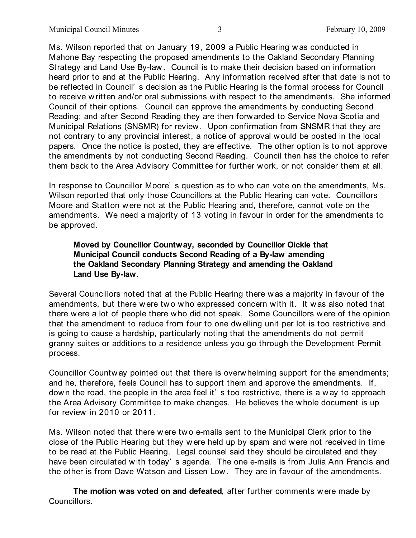Ms. Wilson reported that on January 19, 2009 a Public Hearing w as conducted in Mahone Bay respecting the proposed amendments to the Oakland Secondary Planning Strategy and Land Use By-law . Council is to make their decision based on information heard prior to and at the Public Hearing. Any information received after that date is not to be reflected in Council' s decision as the Public Hearing is the formal process for Council to receive written and/or oral submissions w ith respect to the amendments. She informed Council of their options. Council can approve the amendments by conducting Second Reading; and after Second Reading they are then forw arded to Service Nova Scotia and Municipal Relations (SNSMR) for review . Upon confirmation from SNSMR that they are not contrary to any provincial interest, a notice of approval w ould be posted in the local papers. Once the notice is posted, they are effective. The other option is to not approve the amendments by not conducting Second Reading. Council then has the choice to refer them back to the Area Advisory Committee for further work, or not consider them at all.

In response to Councillor Moore' s question as to w ho can vote on the amendments, Ms. Wilson reported that only those Councillors at the Public Hearing can vote. Councillors Moore and Statton were not at the Public Hearing and, therefore, cannot vote on the amendments. We need a majority of 13 voting in favour in order for the amendments to be approved.

### **Moved by Councillor Countway, seconded by Councillor Oickle that Municipal Council conducts Second Reading of a By-law amending the Oakland Secondary Planning Strategy and amending the Oakland Land Use By-law**.

Several Councillors noted that at the Public Hearing there w as a majority in favour of the amendments, but there were tw o w ho expressed concern w ith it. It w as also noted that there were a lot of people there who did not speak. Some Councillors w ere of the opinion that the amendment to reduce from four to one dwelling unit per lot is too restrictive and is going to cause a hardship, particularly noting that the amendments do not permit granny suites or additions to a residence unless you go through the Development Permit process.

Councillor Countw ay pointed out that there is overw helming support for the amendments; and he, therefore, feels Council has to support them and approve the amendments. If, dow n the road, the people in the area feel it' s too restrictive, there is a w ay to approach the Area Advisory Committee to make changes. He believes the w hole document is up for review in 2010 or 2011.

Ms. Wilson noted that there w ere tw o e-mails sent to the Municipal Clerk prior to the close of the Public Hearing but they w ere held up by spam and w ere not received in time to be read at the Public Hearing. Legal counsel said they should be circulated and they have been circulated with today' s agenda. The one e-mails is from Julia Ann Francis and the other is from Dave Watson and Lissen Low . They are in favour of the amendments.

**The motion was voted on and defeated**, after further comments w ere made by Councillors.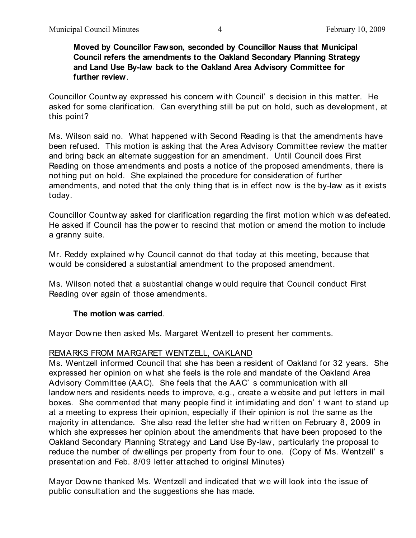#### **Moved by Councillor Fawson, seconded by Councillor Nauss that Municipal Council refers the amendments to the Oakland Secondary Planning Strategy and Land Use By-law back to the Oakland Area Advisory Committee for further review**.

Councillor Countw ay expressed his concern w ith Council' s decision in this matter. He asked for some clarification. Can everything still be put on hold, such as development, at this point?

Ms. Wilson said no. What happened w ith Second Reading is that the amendments have been refused. This motion is asking that the Area Advisory Committee review the matter and bring back an alternate suggestion for an amendment. Until Council does First Reading on those amendments and posts a notice of the proposed amendments, there is nothing put on hold. She explained the procedure for consideration of further amendments, and noted that the only thing that is in effect now is the by-law as it exists today.

Councillor Countw ay asked for clarification regarding the first motion w hich was defeated. He asked if Council has the power to rescind that motion or amend the motion to include a granny suite.

Mr. Reddy explained w hy Council cannot do that today at this meeting, because that w ould be considered a substantial amendment to the proposed amendment.

Ms. Wilson noted that a substantial change w ould require that Council conduct First Reading over again of those amendments.

#### **The motion was carried**.

Mayor Dow ne then asked Ms. Margaret Wentzell to present her comments.

#### REMARKS FROM MARGARET WENTZELL, OAKLAND

Ms. Wentzell informed Council that she has been a resident of Oakland for 32 years. She expressed her opinion on w hat she feels is the role and mandate of the Oakland Area Advisory Committee (AAC). She feels that the AAC' s communication w ith all landowners and residents needs to improve, e.g., create a w ebsite and put letters in mail boxes. She commented that many people find it intimidating and don' t w ant to stand up at a meeting to express their opinion, especially if their opinion is not the same as the majority in attendance. She also read the letter she had w ritten on February 8, 2009 in w hich she expresses her opinion about the amendments that have been proposed to the Oakland Secondary Planning Strategy and Land Use By-law , particularly the proposal to reduce the number of dw ellings per property from four to one. (Copy of Ms. Wentzell' s presentation and Feb. 8/09 letter attached to original Minutes)

Mayor Downe thanked Ms. Wentzell and indicated that we will look into the issue of public consultation and the suggestions she has made.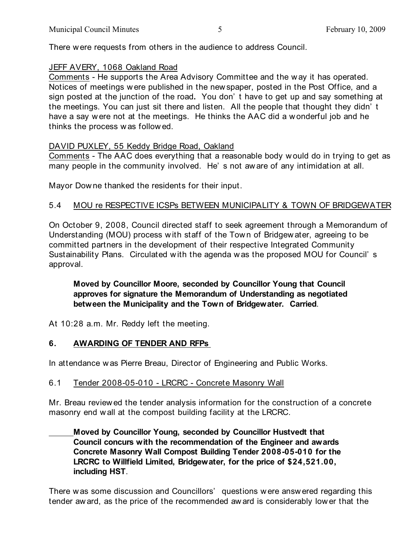There w ere requests from others in the audience to address Council.

### JEFF AVERY, 1068 Oakland Road

Comments - He supports the Area Advisory Committee and the w ay it has operated. Notices of meetings w ere published in the new spaper, posted in the Post Office, and a sign posted at the junction of the road**.** You don' t have to get up and say something at the meetings. You can just sit there and listen. All the people that thought they didn' t have a say w ere not at the meetings. He thinks the AAC did a w onderful job and he thinks the process w as follow ed.

## DAVID PUXLEY, 55 Keddy Bridge Road, Oakland

Comments - The AAC does everything that a reasonable body w ould do in trying to get as many people in the community involved. He' s not aw are of any intimidation at all.

Mayor Dow ne thanked the residents for their input.

## 5.4 MOU re RESPECTIVE ICSPs BETWEEN MUNICIPALITY & TOWN OF BRIDGEWATER

On October 9, 2008, Council directed staff to seek agreement through a Memorandum of Understanding (MOU) process w ith staff of the Tow n of Bridgew ater, agreeing to be committed partners in the development of their respective Integrated Community Sustainability Plans. Circulated w ith the agenda w as the proposed MOU for Council' s approval.

## **Moved by Councillor Moore, seconded by Councillor Young that Council approves for signature the Memorandum of Understanding as negotiated between the Municipality and the Town of Bridgewater. Carried**.

At 10:28 a.m. Mr. Reddy left the meeting.

## **6. AWARDING OF TENDER AND RFPs**

In attendance w as Pierre Breau, Director of Engineering and Public Works.

## 6.1 Tender 2008-05-010 - LRCRC - Concrete Masonry Wall

Mr. Breau reviewed the tender analysis information for the construction of a concrete masonry end w all at the compost building facility at the LRCRC.

**Moved by Councillor Young, seconded by Councillor Hustvedt that Council concurs with the recommendation of the Engineer and awards Concrete Masonry Wall Compost Building Tender 2008-05-010 for the LRCRC to Willfield Limited, Bridgewater, for the price of \$24,521.00, including HST**.

There w as some discussion and Councillors' questions w ere answ ered regarding this tender aw ard, as the price of the recommended aw ard is considerably low er that the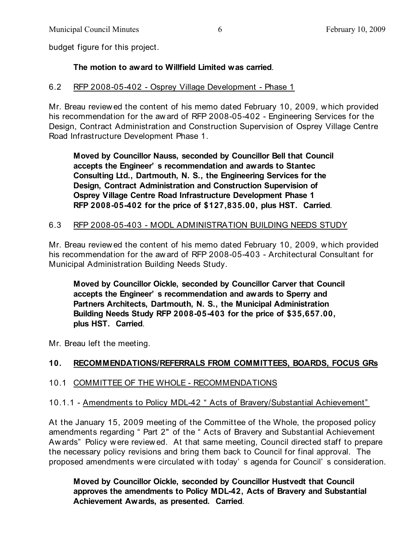budget figure for this project.

### **The motion to award to Willfield Limited was carried**.

#### 6.2 RFP 2008-05-402 - Osprey Village Development - Phase 1

Mr. Breau reviewed the content of his memo dated February 10, 2009, w hich provided his recommendation for the aw ard of RFP 2008-05-402 - Engineering Services for the Design, Contract Administration and Construction Supervision of Osprey Village Centre Road Infrastructure Development Phase 1.

**Moved by Councillor Nauss, seconded by Councillor Bell that Council accepts the Engineer' s recommendation and awards to Stantec Consulting Ltd., Dartmouth, N. S., the Engineering Services for the Design, Contract Administration and Construction Supervision of Osprey Village Centre Road Infrastructure Development Phase 1 RFP 2008-05-402 for the price of \$127,835.00, plus HST. Carried**.

#### 6.3 RFP 2008-05-403 - MODL ADMINISTRATION BUILDING NEEDS STUDY

Mr. Breau reviewed the content of his memo dated February 10, 2009, w hich provided his recommendation for the aw ard of RFP 2008-05-403 - Architectural Consultant for Municipal Administration Building Needs Study.

**Moved by Councillor Oickle, seconded by Councillor Carver that Council accepts the Engineer' s recommendation and awards to Sperry and Partners Architects, Dartmouth, N. S., the Municipal Administration Building Needs Study RFP 2008-05-403 for the price of \$35,657.00, plus HST. Carried**.

Mr. Breau left the meeting.

## **10. RECOMMENDATIONS/REFERRALS FROM COMMITTEES, BOARDS, FOCUS GRs**

#### 10.1 COMMITTEE OF THE WHOLE - RECOMMENDATIONS

#### 10.1.1 - Amendments to Policy MDL-42 " Acts of Bravery/Substantial Achievement"

At the January 15, 2009 meeting of the Committee of the Whole, the proposed policy amendments regarding " Part 2" of the " Acts of Bravery and Substantial Achievement Aw ards" Policy w ere review ed. At that same meeting, Council directed staff to prepare the necessary policy revisions and bring them back to Council for final approval. The proposed amendments w ere circulated with today' s agenda for Council' s consideration.

**Moved by Councillor Oickle, seconded by Councillor Hustvedt that Council approves the amendments to Policy MDL-42, Acts of Bravery and Substantial Achievement Awards, as presented. Carried**.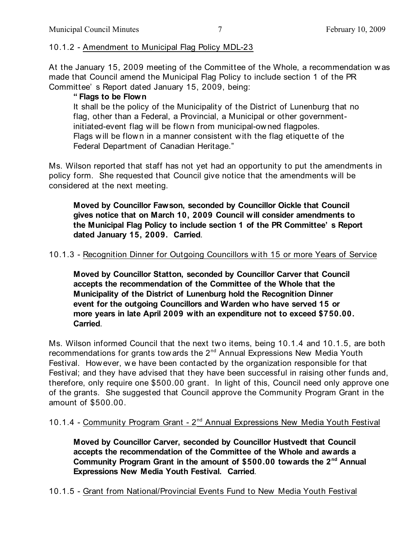## 10.1.2 - Amendment to Municipal Flag Policy MDL-23

At the January 15, 2009 meeting of the Committee of the Whole, a recommendation w as made that Council amend the Municipal Flag Policy to include section 1 of the PR Committee' s Report dated January 15, 2009, being:

## **" Flags to be Flown**

It shall be the policy of the Municipality of the District of Lunenburg that no flag, other than a Federal, a Provincial, a Municipal or other governmentinitiated-event flag w ill be flow n from municipal-ow ned flagpoles. Flags w ill be flow n in a manner consistent w ith the flag etiquette of the Federal Department of Canadian Heritage."

Ms. Wilson reported that staff has not yet had an opportunity to put the amendments in policy form. She requested that Council give notice that the amendments w ill be considered at the next meeting.

**Moved by Councillor Fawson, seconded by Councillor Oickle that Council gives notice that on March 10, 2009 Council will consider amendments to the Municipal Flag Policy to include section 1 of the PR Committee' s Report dated January 15, 2009. Carried**.

## 10.1.3 - Recognition Dinner for Outgoing Councillors w ith 15 or more Years of Service

**Moved by Councillor Statton, seconded by Councillor Carver that Council accepts the recommendation of the Committee of the Whole that the Municipality of the District of Lunenburg hold the Recognition Dinner event for the outgoing Councillors and Warden who have served 15 or more years in late April 2009 with an expenditure not to exceed \$750.00. Carried**.

Ms. Wilson informed Council that the next tw o items, being 10.1.4 and 10.1.5, are both recommendations for grants tow ards the  $2^{nd}$  Annual Expressions New Media Youth Festival. How ever, we have been contacted by the organization responsible for that Festival; and they have advised that they have been successful in raising other funds and, therefore, only require one \$500.00 grant. In light of this, Council need only approve one of the grants. She suggested that Council approve the Community Program Grant in the amount of \$500.00.

# 10.1.4 - Community Program Grant -  $2^{nd}$  Annual Expressions New Media Youth Festival

**Moved by Councillor Carver, seconded by Councillor Hustvedt that Council accepts the recommendation of the Committee of the Whole and awards a Community Program Grant in the amount of \$500.00 towards the 2<sup>nd</sup> Annual Expressions New Media Youth Festival. Carried**.

# 10.1.5 - Grant from National/Provincial Events Fund to New Media Youth Festival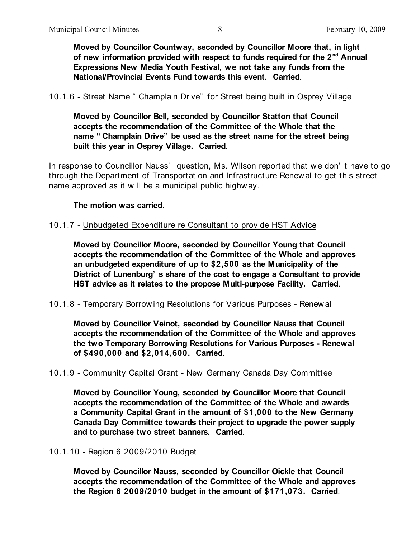**Moved by Councillor Countway, seconded by Councillor Moore that, in light** of new information provided with respect to funds required for the 2<sup>nd</sup> Annual **Expressions New Media Youth Festival, we not take any funds from the National/Provincial Events Fund towards this event. Carried**.

#### 10.1.6 - Street Name " Champlain Drive" for Street being built in Osprey Village

**Moved by Councillor Bell, seconded by Councillor Statton that Council accepts the recommendation of the Committee of the Whole that the name " Champlain Drive" be used as the street name for the street being built this year in Osprey Village. Carried**.

In response to Councillor Nauss' question, Ms. Wilson reported that we don't have to go through the Department of Transportation and Infrastructure Renew al to get this street name approved as it w ill be a municipal public highw ay.

#### **The motion was carried**.

#### 10.1.7 - Unbudgeted Expenditure re Consultant to provide HST Advice

**Moved by Councillor Moore, seconded by Councillor Young that Council accepts the recommendation of the Committee of the Whole and approves an unbudgeted expenditure of up to \$2,500 as the Municipality of the District of Lunenburg' s share of the cost to engage a Consultant to provide HST advice as it relates to the propose Multi-purpose Facility. Carried**.

#### 10.1.8 - Temporary Borrow ing Resolutions for Various Purposes - Renew al

**Moved by Councillor Veinot, seconded by Councillor Nauss that Council accepts the recommendation of the Committee of the Whole and approves the two Temporary Borrowing Resolutions for Various Purposes - Renewal of \$490,000 and \$2,014,600. Carried**.

#### 10.1.9 - Community Capital Grant - New Germany Canada Day Committee

**Moved by Councillor Young, seconded by Councillor Moore that Council accepts the recommendation of the Committee of the Whole and awards a Community Capital Grant in the amount of \$1,000 to the New Germany Canada Day Committee towards their project to upgrade the power supply and to purchase two street banners. Carried**.

#### 10.1.10 - Region 6 2009/2010 Budget

**Moved by Councillor Nauss, seconded by Councillor Oickle that Council accepts the recommendation of the Committee of the Whole and approves the Region 6 2009/2010 budget in the amount of \$171,073. Carried**.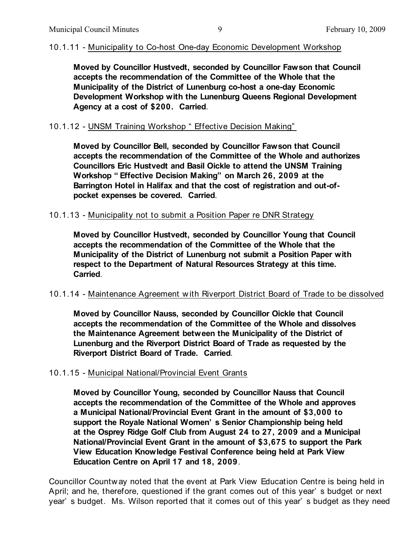### 10.1.11 - Municipality to Co-host One-day Economic Development Workshop

**Moved by Councillor Hustvedt, seconded by Councillor Fawson that Council accepts the recommendation of the Committee of the Whole that the Municipality of the District of Lunenburg co-host a one-day Economic Development Workshop with the Lunenburg Queens Regional Development Agency at a cost of \$200. Carried**.

#### 10.1.12 - UNSM Training Workshop " Effective Decision Making"

**Moved by Councillor Bell, seconded by Councillor Fawson that Council accepts the recommendation of the Committee of the Whole and authorizes Councillors Eric Hustvedt and Basil Oickle to attend the UNSM Training Workshop " Effective Decision Making" on March 26, 2009 at the Barrington Hotel in Halifax and that the cost of registration and out-ofpocket expenses be covered. Carried**.

#### 10.1.13 - Municipality not to submit a Position Paper re DNR Strategy

**Moved by Councillor Hustvedt, seconded by Councillor Young that Council accepts the recommendation of the Committee of the Whole that the Municipality of the District of Lunenburg not submit a Position Paper with respect to the Department of Natural Resources Strategy at this time. Carried**.

#### 10.1.14 - Maintenance Agreement w ith Riverport District Board of Trade to be dissolved

**Moved by Councillor Nauss, seconded by Councillor Oickle that Council accepts the recommendation of the Committee of the Whole and dissolves the Maintenance Agreement between the Municipality of the District of Lunenburg and the Riverport District Board of Trade as requested by the Riverport District Board of Trade. Carried**.

#### 10.1.15 - Municipal National/Provincial Event Grants

**Moved by Councillor Young, seconded by Councillor Nauss that Council accepts the recommendation of the Committee of the Whole and approves a Municipal National/Provincial Event Grant in the amount of \$3,000 to support the Royale National Women' s Senior Championship being held at the Osprey Ridge Golf Club from August 24 to 27, 2009 and a Municipal National/Provincial Event Grant in the amount of \$3,675 to support the Park View Education Knowledge Festival Conference being held at Park View Education Centre on April 17 and 18, 2009**.

Councillor Countw ay noted that the event at Park View Education Centre is being held in April; and he, therefore, questioned if the grant comes out of this year' s budget or next year' s budget. Ms. Wilson reported that it comes out of this year' s budget as they need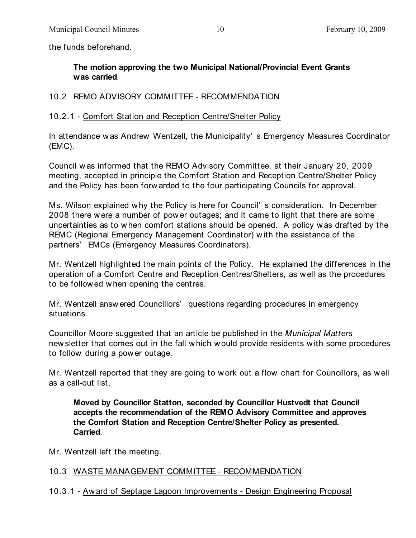the funds beforehand.

## **The motion approving the two Municipal National/Provincial Event Grants was carried**.

## 10.2 REMO ADVISORY COMMITTEE - RECOMMENDATION

## 10.2.1 - Comfort Station and Reception Centre/Shelter Policy

In attendance w as Andrew Wentzell, the Municipality' s Emergency Measures Coordinator (EMC).

Council w as informed that the REMO Advisory Committee, at their January 20, 2009 meeting, accepted in principle the Comfort Station and Reception Centre/Shelter Policy and the Policy has been forw arded to the four participating Councils for approval.

Ms. Wilson explained w hy the Policy is here for Council' s consideration. In December 2008 there w ere a number of pow er outages; and it came to light that there are some uncertainties as to when comfort stations should be opened. A policy w as drafted by the REMC (Regional Emergency Management Coordinator) w ith the assistance of the partners' EMCs (Emergency Measures Coordinators).

Mr. Wentzell highlighted the main points of the Policy. He explained the differences in the operation of a Comfort Centre and Reception Centres/Shelters, as w ell as the procedures to be follow ed w hen opening the centres.

Mr. Wentzell answ ered Councillors' questions regarding procedures in emergency situations.

Councillor Moore suggested that an article be published in the *Municipal Matters* new sletter that comes out in the fall w hich w ould provide residents w ith some procedures to follow during a pow er outage.

Mr. Wentzell reported that they are going to w ork out a flow chart for Councillors, as w ell as a call-out list.

**Moved by Councillor Statton, seconded by Councillor Hustvedt that Council accepts the recommendation of the REMO Advisory Committee and approves the Comfort Station and Reception Centre/Shelter Policy as presented. Carried**.

Mr. Wentzell left the meeting.

## 10.3 WASTE MANAGEMENT COMMITTEE - RECOMMENDATION

10.3.1 - Aw ard of Septage Lagoon Improvements - Design Engineering Proposal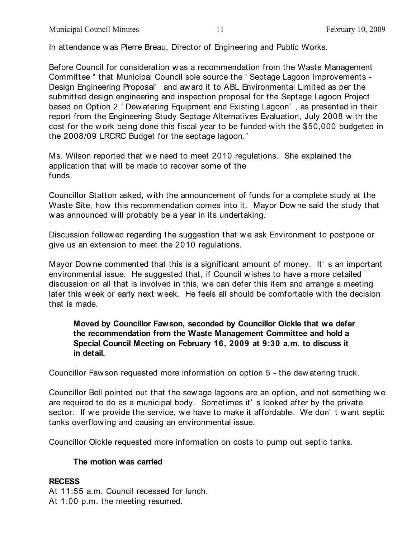In attendance w as Pierre Breau, Director of Engineering and Public Works.

Before Council for consideration w as a recommendation from the Waste Management Committee " that Municipal Council sole source the ' Septage Lagoon Improvements - Design Engineering Proposal' and aw ard it to ABL Environmental Limited as per the submitted design engineering and inspection proposal for the Septage Lagoon Project based on Option 2 ' Dew atering Equipment and Existing Lagoon' , as presented in their report from the Engineering Study Septage Alternatives Evaluation, July 2008 w ith the cost for the w ork being done this fiscal year to be funded w ith the \$50,000 budgeted in the 2008/09 LRCRC Budget for the septage lagoon."

Ms. Wilson reported that w e need to meet 2010 regulations. She explained the application that w ill be made to recover some of the funds.

Councillor Statton asked, w ith the announcement of funds for a complete study at the Waste Site, how this recommendation comes into it. Mayor Dow ne said the study that w as announced will probably be a year in its undertaking.

Discussion follow ed regarding the suggestion that we ask Environment to postpone or give us an extension to meet the 2010 regulations.

Mayor Dow ne commented that this is a significant amount of money. It' s an important environmental issue. He suggested that, if Council w ishes to have a more detailed discussion on all that is involved in this, we can defer this item and arrange a meeting later this w eek or early next w eek. He feels all should be comfortable w ith the decision that is made.

**Moved by Councillor Fawson, seconded by Councillor Oickle that we defer the recommendation from the Waste Management Committee and hold a Special Council Meeting on February 16, 2009 at 9:30 a.m. to discuss it in detail.**

Councillor Faw son requested more information on option 5 - the dew atering truck.

Councillor Bell pointed out that the sew age lagoons are an option, and not something w e are required to do as a municipal body. Sometimes it' s looked after by the private sector. If we provide the service, we have to make it affordable. We don't want septic tanks overflow ing and causing an environmental issue.

Councillor Oickle requested more information on costs to pump out septic tanks.

#### **The motion was carried**

#### **RECESS**

At 11:55 a.m. Council recessed for lunch. At 1:00 p.m. the meeting resumed.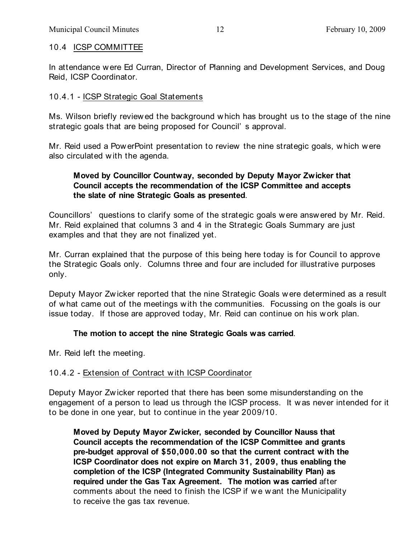## 10.4 ICSP COMMITTEE

In attendance w ere Ed Curran, Director of Planning and Development Services, and Doug Reid, ICSP Coordinator.

## 10.4.1 - ICSP Strategic Goal Statements

Ms. Wilson briefly review ed the background which has brought us to the stage of the nine strategic goals that are being proposed for Council' s approval.

Mr. Reid used a PowerPoint presentation to review the nine strategic goals, w hich were also circulated w ith the agenda.

## **Moved by Councillor Countway, seconded by Deputy Mayor Zwicker that Council accepts the recommendation of the ICSP Committee and accepts the slate of nine Strategic Goals as presented**.

Councillors' questions to clarify some of the strategic goals w ere answ ered by Mr. Reid. Mr. Reid explained that columns 3 and 4 in the Strategic Goals Summary are just examples and that they are not finalized yet.

Mr. Curran explained that the purpose of this being here today is for Council to approve the Strategic Goals only. Columns three and four are included for illustrative purposes only.

Deputy Mayor Zw icker reported that the nine Strategic Goals w ere determined as a result of w hat came out of the meetings w ith the communities. Focussing on the goals is our issue today. If those are approved today, Mr. Reid can continue on his w ork plan.

# **The motion to accept the nine Strategic Goals was carried**.

Mr. Reid left the meeting.

# 10.4.2 - Extension of Contract w ith ICSP Coordinator

Deputy Mayor Zw icker reported that there has been some misunderstanding on the engagement of a person to lead us through the ICSP process. It w as never intended for it to be done in one year, but to continue in the year 2009/10.

**Moved by Deputy Mayor Zwicker, seconded by Councillor Nauss that Council accepts the recommendation of the ICSP Committee and grants pre-budget approval of \$50,000.00 so that the current contract with the ICSP Coordinator does not expire on March 31, 2009, thus enabling the completion of the ICSP (Integrated Community Sustainability Plan) as required under the Gas Tax Agreement. The motion was carried** after comments about the need to finish the ICSP if we want the Municipality to receive the gas tax revenue.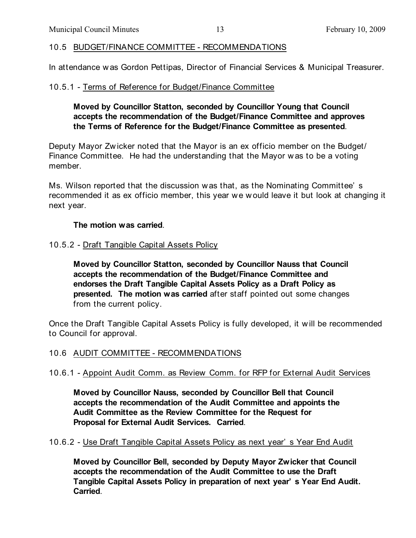### 10.5 BUDGET/FINANCE COMMITTEE - RECOMMENDATIONS

In attendance w as Gordon Pettipas, Director of Financial Services & Municipal Treasurer.

### 10.5.1 - Terms of Reference for Budget/Finance Committee

### **Moved by Councillor Statton, seconded by Councillor Young that Council accepts the recommendation of the Budget/Finance Committee and approves the Terms of Reference for the Budget/Finance Committee as presented**.

Deputy Mayor Zw icker noted that the Mayor is an ex officio member on the Budget/ Finance Committee. He had the understanding that the Mayor w as to be a voting member.

Ms. Wilson reported that the discussion w as that, as the Nominating Committee' s recommended it as ex officio member, this year we w ould leave it but look at changing it next year.

#### **The motion was carried**.

#### 10.5.2 - Draft Tangible Capital Assets Policy

**Moved by Councillor Statton, seconded by Councillor Nauss that Council accepts the recommendation of the Budget/Finance Committee and endorses the Draft Tangible Capital Assets Policy as a Draft Policy as presented. The motion was carried** after staff pointed out some changes from the current policy.

Once the Draft Tangible Capital Assets Policy is fully developed, it w ill be recommended to Council for approval.

#### 10.6 AUDIT COMMITTEE - RECOMMENDATIONS

## 10.6.1 - Appoint Audit Comm. as Review Comm. for RFP for External Audit Services

**Moved by Councillor Nauss, seconded by Councillor Bell that Council accepts the recommendation of the Audit Committee and appoints the Audit Committee as the Review Committee for the Request for Proposal for External Audit Services. Carried**.

#### 10.6.2 - Use Draft Tangible Capital Assets Policy as next year' s Year End Audit

**Moved by Councillor Bell, seconded by Deputy Mayor Zwicker that Council accepts the recommendation of the Audit Committee to use the Draft Tangible Capital Assets Policy in preparation of next year' s Year End Audit. Carried**.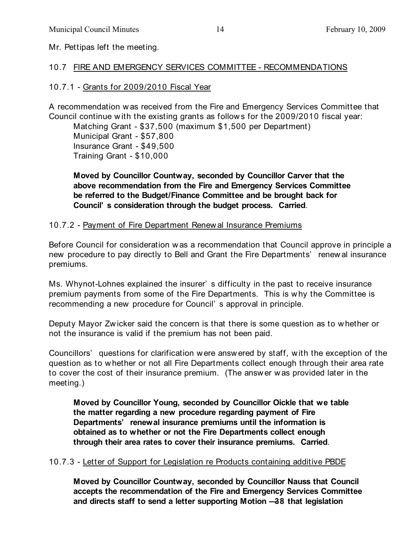Mr. Pettipas left the meeting.

## 10.7 FIRE AND EMERGENCY SERVICES COMMITTEE - RECOMMENDATIONS

# 10.7.1 - Grants for 2009/2010 Fiscal Year

A recommendation w as received from the Fire and Emergency Services Committee that Council continue w ith the existing grants as follows for the 2009/2010 fiscal year:

Matching Grant - \$37,500 (maximum \$1,500 per Department) Municipal Grant - \$57,800 Insurance Grant - \$49,500 Training Grant - \$10,000

**Moved by Councillor Countway, seconded by Councillor Carver that the above recommendation from the Fire and Emergency Services Committee be referred to the Budget/Finance Committee and be brought back for Council' s consideration through the budget process. Carried**.

## 10.7.2 - Payment of Fire Department Renew al Insurance Premiums

Before Council for consideration w as a recommendation that Council approve in principle a new procedure to pay directly to Bell and Grant the Fire Departments' renew al insurance premiums.

Ms. Whynot-Lohnes explained the insurer' s difficulty in the past to receive insurance premium payments from some of the Fire Departments. This is w hy the Committee is recommending a new procedure for Council' s approval in principle.

Deputy Mayor Zw icker said the concern is that there is some question as to whether or not the insurance is valid if the premium has not been paid.

Councillors' questions for clarification w ere answ ered by staff, w ith the exception of the question as to w hether or not all Fire Departments collect enough through their area rate to cover the cost of their insurance premium. (The answ er w as provided later in the meeting.)

**Moved by Councillor Young, seconded by Councillor Oickle that we table the matter regarding a new procedure regarding payment of Fire Departments' renewal insurance premiums until the information is obtained as to whether or not the Fire Departments collect enough through their area rates to cover their insurance premiums. Carried**.

# 10.7.3 - Letter of Support for Legislation re Products containing additive PBDE

**Moved by Councillor Countway, seconded by Councillor Nauss that Council accepts the recommendation of the Fire and Emergency Services Committee and directs staff to send a letter supporting Motion —38 that legislation**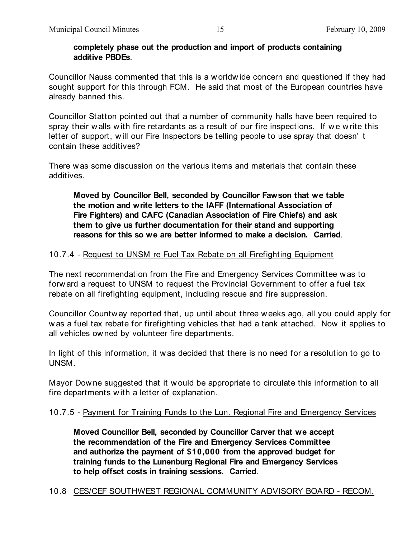#### **completely phase out the production and import of products containing additive PBDEs**.

Councillor Nauss commented that this is a worldw ide concern and questioned if they had sought support for this through FCM. He said that most of the European countries have already banned this.

Councillor Statton pointed out that a number of community halls have been required to spray their walls with fire retardants as a result of our fire inspections. If we write this letter of support, w ill our Fire Inspectors be telling people to use spray that doesn' t contain these additives?

There w as some discussion on the various items and materials that contain these additives.

**Moved by Councillor Bell, seconded by Councillor Fawson that we table the motion and write letters to the IAFF (International Association of Fire Fighters) and CAFC (Canadian Association of Fire Chiefs) and ask them to give us further documentation for their stand and supporting reasons for this so we are better informed to make a decision. Carried**.

## 10.7.4 - Request to UNSM re Fuel Tax Rebate on all Firefighting Equipment

The next recommendation from the Fire and Emergency Services Committee w as to forw ard a request to UNSM to request the Provincial Government to offer a fuel tax rebate on all firefighting equipment, including rescue and fire suppression.

Councillor Countw ay reported that, up until about three w eeks ago, all you could apply for w as a fuel tax rebate for firefighting vehicles that had a tank attached. Now it applies to all vehicles ow ned by volunteer fire departments.

In light of this information, it w as decided that there is no need for a resolution to go to UNSM.

Mayor Downe suggested that it w ould be appropriate to circulate this information to all fire departments w ith a letter of explanation.

## 10.7.5 - Payment for Training Funds to the Lun. Regional Fire and Emergency Services

**Moved Councillor Bell, seconded by Councillor Carver that we accept the recommendation of the Fire and Emergency Services Committee and authorize the payment of \$10,000 from the approved budget for training funds to the Lunenburg Regional Fire and Emergency Services to help offset costs in training sessions. Carried**.

## 10.8 CES/CEF SOUTHWEST REGIONAL COMMUNITY ADVISORY BOARD - RECOM.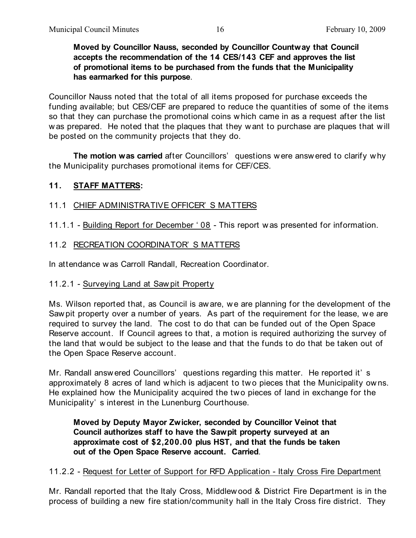**Moved by Councillor Nauss, seconded by Councillor Countway that Council accepts the recommendation of the 14 CES/143 CEF and approves the list of promotional items to be purchased from the funds that the Municipality has earmarked for this purpose**.

Councillor Nauss noted that the total of all items proposed for purchase exceeds the funding available; but CES/CEF are prepared to reduce the quantities of some of the items so that they can purchase the promotional coins w hich came in as a request after the list w as prepared. He noted that the plaques that they w ant to purchase are plaques that w ill be posted on the community projects that they do.

**The motion was carried** after Councillors' questions w ere answ ered to clarify w hy the Municipality purchases promotional items for CEF/CES.

### **11. STAFF MATTERS:**

### 11.1 CHIEF ADMINISTRATIVE OFFICER' S MATTERS

- 11.1.1 Building Report for December ' 08 This report w as presented for information.
- 11.2 RECREATION COORDINATOR' S MATTERS

In attendance w as Carroll Randall, Recreation Coordinator.

#### 11.2.1 - Surveying Land at Saw pit Property

Ms. Wilson reported that, as Council is aw are, w e are planning for the development of the Saw pit property over a number of years. As part of the requirement for the lease, we are required to survey the land. The cost to do that can be funded out of the Open Space Reserve account. If Council agrees to that, a motion is required authorizing the survey of the land that w ould be subject to the lease and that the funds to do that be taken out of the Open Space Reserve account.

Mr. Randall answ ered Councillors' questions regarding this matter. He reported it' s approximately 8 acres of land w hich is adjacent to tw o pieces that the Municipality ow ns. He explained how the Municipality acquired the two pieces of land in exchange for the Municipality' s interest in the Lunenburg Courthouse.

**Moved by Deputy Mayor Zwicker, seconded by Councillor Veinot that Council authorizes staff to have the Sawpit property surveyed at an approximate cost of \$2,200.00 plus HST, and that the funds be taken out of the Open Space Reserve account. Carried**.

#### 11.2.2 - Request for Letter of Support for RFD Application - Italy Cross Fire Department

Mr. Randall reported that the Italy Cross, Middlew ood & District Fire Department is in the process of building a new fire station/community hall in the Italy Cross fire district. They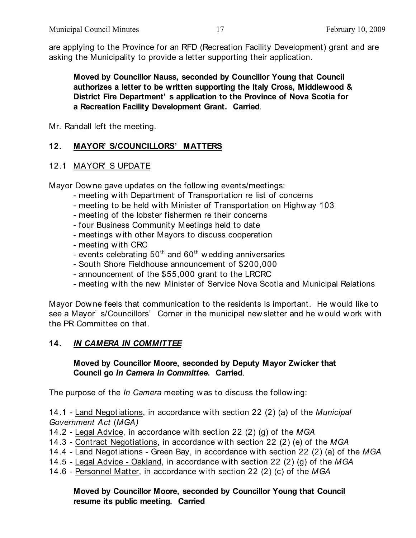are applying to the Province for an RFD (Recreation Facility Development) grant and are asking the Municipality to provide a letter supporting their application.

**Moved by Councillor Nauss, seconded by Councillor Young that Council authorizes a letter to be written supporting the Italy Cross, Middlewood & District Fire Department' s application to the Province of Nova Scotia for a Recreation Facility Development Grant. Carried**.

Mr. Randall left the meeting.

## **12. MAYOR' S/COUNCILLORS' MATTERS**

## 12.1 MAYOR' S UPDATE

Mayor Dow ne gave updates on the follow ing events/meetings:

- meeting w ith Department of Transportation re list of concerns
- meeting to be held w ith Minister of Transportation on Highw ay 103
- meeting of the lobster fishermen re their concerns
- four Business Community Meetings held to date
- meetings w ith other Mayors to discuss cooperation
- meeting w ith CRC
- events celebrating  $50<sup>th</sup>$  and  $60<sup>th</sup>$  wedding anniversaries
- South Shore Fieldhouse announcement of \$200,000
- announcement of the \$55,000 grant to the LRCRC
- meeting w ith the new Minister of Service Nova Scotia and Municipal Relations

Mayor Dow ne feels that communication to the residents is important. He would like to see a Mayor' s/Councillors' Corner in the municipal new sletter and he w ould w ork w ith the PR Committee on that.

## **14.** *IN CAMERA IN COMMITTEE*

### **Moved by Councillor Moore, seconded by Deputy Mayor Zwicker that Council go** *In Camera In Committee***. Carried**.

The purpose of the *In Camera* meeting w as to discuss the follow ing:

14.1 - Land Negotiations, in accordance with section 22 (2) (a) of the *Municipal Government Act* (*MGA)*

- 14.2 Legal Advice, in accordance with section 22 (2) (g) of the *MGA*
- 14.3 Contract Negotiations, in accordance with section 22 (2) (e) of the *MGA*
- 14.4 Land Negotiations Green Bay, in accordance with section 22 (2) (a) of the *MGA*
- 14.5 Legal Advice Oakland, in accordance with section 22 (2) (g) of the *MGA*
- 14.6 Personnel Matter, in accordance with section 22 (2) (c) of the *MGA*

### **Moved by Councillor Moore, seconded by Councillor Young that Council resume its public meeting. Carried**